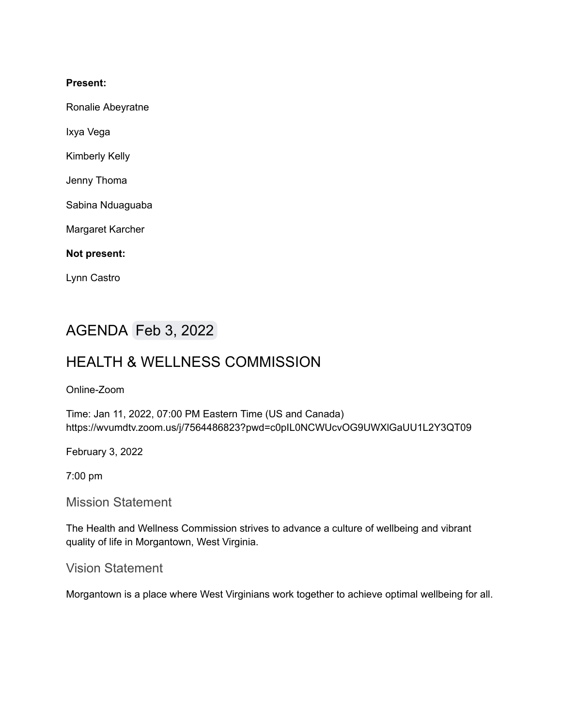#### **Present:**

Ronalie Abeyratne

Ixya Vega

Kimberly Kelly

Jenny Thoma

Sabina Nduaguaba

Margaret Karcher

**Not present:**

Lynn Castro

# AGENDA Feb 3, 2022

# HEALTH & WELLNESS COMMISSION

#### Online-Zoom

Time: Jan 11, 2022, 07:00 PM Eastern Time (US and Canada) https://wvumdtv.zoom.us/j/7564486823?pwd=c0pIL0NCWUcvOG9UWXlGaUU1L2Y3QT09

February 3, 2022

7:00 pm

Mission Statement

The Health and Wellness Commission strives to advance a culture of wellbeing and vibrant quality of life in Morgantown, West Virginia.

Vision Statement

Morgantown is a place where West Virginians work together to achieve optimal wellbeing for all.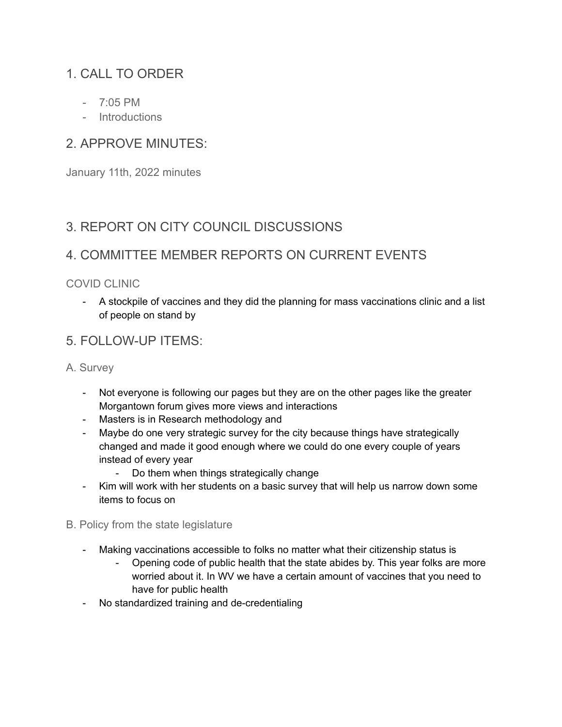# 1. CALL TO ORDER

- $-7.05$  PM
- Introductions

## 2. APPROVE MINUTES:

January 11th, 2022 minutes

## 3. REPORT ON CITY COUNCIL DISCUSSIONS

## 4. COMMITTEE MEMBER REPORTS ON CURRENT EVENTS

#### COVID CLINIC

- A stockpile of vaccines and they did the planning for mass vaccinations clinic and a list of people on stand by

### 5. FOLLOW-UP ITEMS:

A. Survey

- Not everyone is following our pages but they are on the other pages like the greater Morgantown forum gives more views and interactions
- Masters is in Research methodology and
- Maybe do one very strategic survey for the city because things have strategically changed and made it good enough where we could do one every couple of years instead of every year
	- Do them when things strategically change
- Kim will work with her students on a basic survey that will help us narrow down some items to focus on
- B. Policy from the state legislature
	- Making vaccinations accessible to folks no matter what their citizenship status is
		- Opening code of public health that the state abides by. This year folks are more worried about it. In WV we have a certain amount of vaccines that you need to have for public health
	- No standardized training and de-credentialing